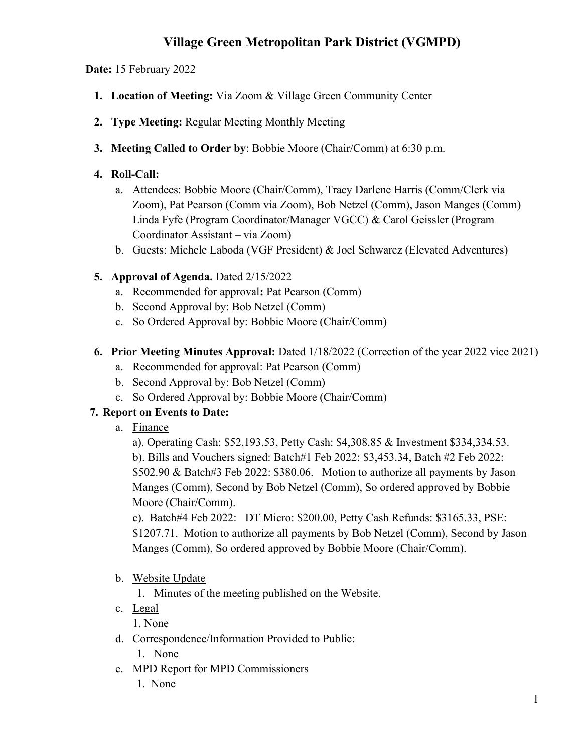# Village Green Metropolitan Park District (VGMPD)

Date: 15 February 2022

- 1. Location of Meeting: Via Zoom & Village Green Community Center
- 2. Type Meeting: Regular Meeting Monthly Meeting
- 3. Meeting Called to Order by: Bobbie Moore (Chair/Comm) at 6:30 p.m.

#### 4. Roll-Call:

- a. Attendees: Bobbie Moore (Chair/Comm), Tracy Darlene Harris (Comm/Clerk via Zoom), Pat Pearson (Comm via Zoom), Bob Netzel (Comm), Jason Manges (Comm) Linda Fyfe (Program Coordinator/Manager VGCC) & Carol Geissler (Program Coordinator Assistant – via Zoom)
- b. Guests: Michele Laboda (VGF President) & Joel Schwarcz (Elevated Adventures)

## 5. Approval of Agenda. Dated 2/15/2022

- a. Recommended for approval: Pat Pearson (Comm)
- b. Second Approval by: Bob Netzel (Comm)
- c. So Ordered Approval by: Bobbie Moore (Chair/Comm)

## 6. Prior Meeting Minutes Approval: Dated 1/18/2022 (Correction of the year 2022 vice 2021)

- a. Recommended for approval: Pat Pearson (Comm)
- b. Second Approval by: Bob Netzel (Comm)
- c. So Ordered Approval by: Bobbie Moore (Chair/Comm)

## 7. Report on Events to Date:

a. Finance

a). Operating Cash: \$52,193.53, Petty Cash: \$4,308.85 & Investment \$334,334.53. b). Bills and Vouchers signed: Batch#1 Feb 2022: \$3,453.34, Batch #2 Feb 2022: \$502.90 & Batch#3 Feb 2022: \$380.06. Motion to authorize all payments by Jason Manges (Comm), Second by Bob Netzel (Comm), So ordered approved by Bobbie Moore (Chair/Comm).

c). Batch#4 Feb 2022: DT Micro: \$200.00, Petty Cash Refunds: \$3165.33, PSE: \$1207.71. Motion to authorize all payments by Bob Netzel (Comm), Second by Jason Manges (Comm), So ordered approved by Bobbie Moore (Chair/Comm).

b. Website Update

1. Minutes of the meeting published on the Website.

c. Legal

1. None

- d. Correspondence/Information Provided to Public: 1. None
- e. MPD Report for MPD Commissioners
	- 1. None